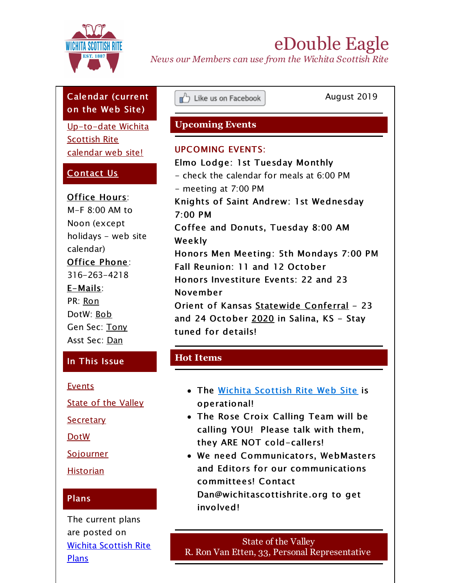<span id="page-0-0"></span>

# eDouble Eagle

*News our Members can use from the Wichita Scottish Rite*

# Calendar (current on the Web Site)

[Up-to-date](http://r20.rs6.net/tn.jsp?f=001aPJp0zIGhYhUb4mFIddgvlmwvcwTERsfc1_1EobuA-MzzB66UCfiu60vBj3dcm60ira61pFEZL4R-F30TKnVsznx67he243vlO8MEuQiJGimAaw5oNbqSetT3RkgSqFIiPz7LDufl12VLrrQb_7R-08juw_eUuSSpFCs4Pjs2lQbZNQnv2pd2BD7fy30LKnZO_6rCjpyiB4=&c=&ch=) Wichita Scottish Rite calendar web site!

## [Contact](mailto:info@wichitascottishrite.org?subject=Please Contact Me&body=Please contact me.  I have a question about --%0A%0AThe best way to reach me is --) Us

Office Hours: M-F 8:00 AM to Noon (except holidays - web site calendar) Office Phone: 316-263-4218 E-Mails: PR: [Ron](mailto:ron@wichitascottishrite.org) DotW: [Bob](mailto:bob@wichitascottishrite.org) Gen Sec: [Tony](mailto:tony@wichitascottishrite.org) Asst Sec: [Dan](mailto:dan@wichitascottishrite.org)

### In This Issue

**[Events](#page-0-0)** 

State of the [Valley](#page-0-0)

**[Secretary](#page-0-0)** 

[DotW](#page-0-0)

**[Sojourner](#page-0-0)** 

**[Historian](#page-0-0)** 

### Plans

The current plans are posted on Wichita [Scottish](http://r20.rs6.net/tn.jsp?f=001aPJp0zIGhYhUb4mFIddgvlmwvcwTERsfc1_1EobuA-MzzB66UCfiu55TQmLFFpxC_yAsroFzte_VyyyYXzqFteYTmsUIhzpw0J30PH3bBueJHFpMWtFvR4hGcl0PFNKMbq7UTyjLZnSGpTGlRK447RqsE2DqqWNvgfalY7LMVBkshRr6WMoKeI1L8IFcUqzZjGXsCCbk4SLBXqRvAtZyhg==&c=&ch=) Rite Plans

Eike us on Facebook

August 2019

## **Upcoming Events**

### UPCOMING EVENTS:

Elmo Lodge: 1st Tuesday Monthly - check the calendar for meals at 6:00 PM - meeting at 7:00 PM Knights of Saint Andrew: 1st Wednesday 7:00 PM Coffee and Donuts, Tuesday 8:00 AM Weekly Honors Men Meeting: 5th Mondays 7:00 PM Fall Reunion: 11 and 12 October Honors Investiture Events: 22 and 23 November Orient of Kansas Statewide Conferral - 23 and 24 October  $2020$  in Salina, KS - Stay tuned for details!

## **Hot Items**

- The Wichita [Scottish](http://r20.rs6.net/tn.jsp?f=001aPJp0zIGhYhUb4mFIddgvlmwvcwTERsfc1_1EobuA-MzzB66UCfiu_khZiTQsusXJKOPDvhHAFWtkpUATpzI24rxv8ikfibTeVpyAqeBf_9gB4ANZUkrAL9ugMxrc9i1u6rrAYvHrCrgA5mukXRQca4xWdwISSP1O28UWJTMi9aiPUML2JHzYQ==&c=&ch=) Rite Web Site is operational!
- The Rose Croix Calling Team will be calling YOU! Please talk with them, they ARE NOT cold-callers!
- We need Communicators, WebMasters and Editors for our communications committees! Contact Dan@wichitascottishrite.org to get involved!

State of the Valley R. Ron Van Etten, 33, Personal Representative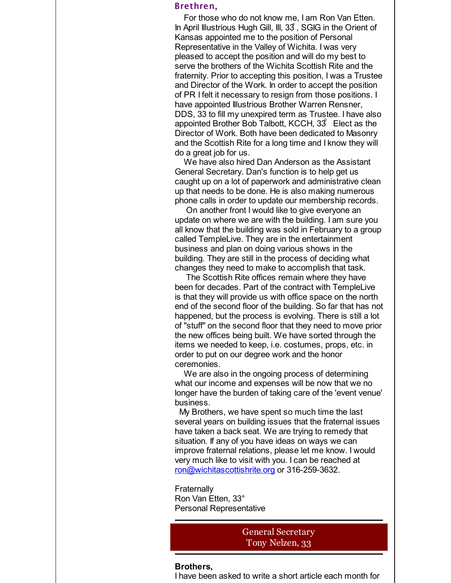#### Brethren,

For those who do not know me, I am Ron Van Etten. In April Illustrious Hugh Gill, III, 33 ̊, SGIG in the Orient of Kansas appointed me to the position of Personal Representative in the Valley of Wichita. I was very pleased to accept the position and will do my best to serve the brothers of the Wichita Scottish Rite and the fraternity. Prior to accepting this position, I was a Trustee and Director of the Work. In order to accept the position of PR I felt it necessary to resign from those positions. I have appointed Illustrious Brother Warren Rensner, DDS, 33 to fill my unexpired term as Trustee. I have also appointed Brother Bob Talbott, KCCH,  $33<sup>°</sup>$  Elect as the Director of Work. Both have been dedicated to Masonry and the Scottish Rite for a long time and I know they will do a great job for us.

We have also hired Dan Anderson as the Assistant General Secretary. Dan's function is to help get us caught up on a lot of paperwork and administrative clean up that needs to be done. He is also making numerous phone calls in order to update our membership records.

On another front I would like to give everyone an update on where we are with the building. I am sure you all know that the building was sold in February to a group called TempleLive. They are in the entertainment business and plan on doing various shows in the building. They are still in the process of deciding what changes they need to make to accomplish that task.

The Scottish Rite offices remain where they have been for decades. Part of the contract with TempleLive is that they will provide us with office space on the north end of the second floor of the building. So far that has not happened, but the process is evolving. There is still a lot of "stuff" on the second floor that they need to move prior the new offices being built. We have sorted through the items we needed to keep, i.e. costumes, props, etc. in order to put on our degree work and the honor ceremonies.

We are also in the ongoing process of determining what our income and expenses will be now that we no longer have the burden of taking care of the 'event venue' business.

My Brothers, we have spent so much time the last several years on building issues that the fraternal issues have taken a back seat. We are trying to remedy that situation. If any of you have ideas on ways we can improve fraternal relations, please let me know. I would very much like to visit with you. I can be reached at [ron@wichitascottishrite.org](mailto:ron@wichitascottishrite.org) or 316-259-3632.

**Fraternally** Ron Van Etten, 33° Personal Representative

> General Secretary Tony Nelzen, 33

### **Brothers,**

I have been asked to write a short article each month for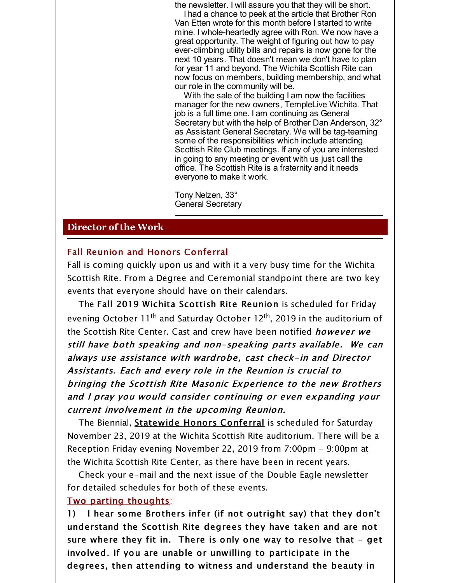the newsletter. I will assure you that they will be short.

I had a chance to peek at the article that Brother Ron Van Etten wrote for this month before I started to write mine. I whole-heartedly agree with Ron. We now have a great opportunity. The weight of figuring out how to pay ever-climbing utility bills and repairs is now gone for the next 10 years. That doesn't mean we don't have to plan for year 11 and beyond. The Wichita Scottish Rite can now focus on members, building membership, and what our role in the community will be.

With the sale of the building I am now the facilities manager for the new owners, TempleLive Wichita. That job is a full time one. I am continuing as General Secretary but with the help of Brother Dan Anderson, 32° as Assistant General Secretary. We will be tag-teaming some of the responsibilities which include attending Scottish Rite Club meetings. If any of you are interested in going to any meeting or event with us just call the office. The Scottish Rite is a fraternity and it needs everyone to make it work.

Tony Nelzen, 33° General Secretary

### **Director of the Work**

### Fall Reunion and Honors Conferral

Fall is coming quickly upon us and with it a very busy time for the Wichita Scottish Rite. From a Degree and Ceremonial standpoint there are two key events that everyone should have on their calendars.

The Fall 2019 Wichita Scottish Rite Reunion is scheduled for Friday evening October 11<sup>th</sup> and Saturday October 12<sup>th</sup>, 2019 in the auditorium of the Scottish Rite Center. Cast and crew have been notified *however we* still have both speaking and non-speaking parts available. We can always use assistance with wardrobe, cast check-in and Director Assistants. Each and every role in the Reunion is crucial to bringing the Scottish Rite Masonic Experience to the new Brothers and I pray you would consider continuing or even expanding your current involvement in the upcoming Reunion.

The Biennial, Statewide Honors Conferral is scheduled for Saturday November 23, 2019 at the Wichita Scottish Rite auditorium. There will be a Reception Friday evening November 22, 2019 from 7:00pm - 9:00pm at the Wichita Scottish Rite Center, as there have been in recent years.

Check your e-mail and the next issue of the Double Eagle newsletter for detailed schedules for both of these events.

### Two parting thoughts:

1) I hear some Brothers infer (if not outright say) that they don't understand the Scottish Rite degrees they have taken and are not sure where they fit in. There is only one way to resolve that  $-$  get involved. If you are unable or unwilling to participate in the degrees, then attending to witness and understand the beauty in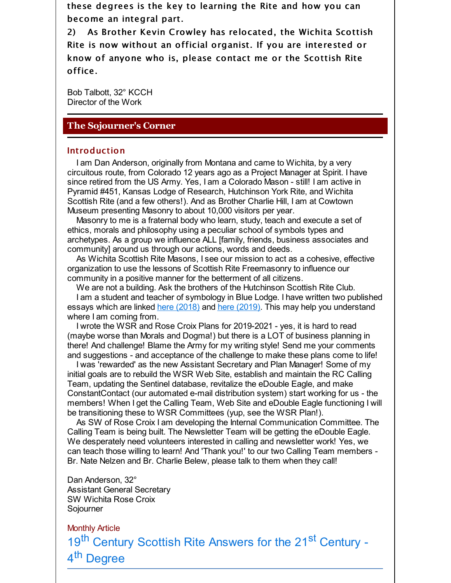these degrees is the key to learning the Rite and how you can become an integral part.

2) As Brother Kevin Crowley has relocated, the Wichita Scottish Rite is now without an official organist. If you are interested or know of anyone who is, please contact me or the Scottish Rite office.

Bob Talbott, 32° KCCH Director of the Work

### **The Sojourner's Corner**

#### Introduction

I am Dan Anderson, originally from Montana and came to Wichita, by a very circuitous route, from Colorado 12 years ago as a Project Manager at Spirit. I have since retired from the US Army. Yes, I am a Colorado Mason - still! I am active in Pyramid #451, Kansas Lodge of Research, Hutchinson York Rite, and Wichita Scottish Rite (and a few others!). And as Brother Charlie Hill, I am at Cowtown Museum presenting Masonry to about 10,000 visitors per year.

Masonry to me is a fraternal body who learn, study, teach and execute a set of ethics, morals and philosophy using a peculiar school of symbols types and archetypes. As a group we influence ALL [family, friends, business associates and community] around us through our actions, words and deeds.

As Wichita Scottish Rite Masons, I see our mission to act as a cohesive, effective organization to use the lessons of Scottish Rite Freemasonry to influence our community in a positive manner for the betterment of all citizens.

We are not a building. Ask the brothers of the Hutchinson Scottish Rite Club. I am a student and teacher of symbology in Blue Lodge. I have written two published essays which are linked here [\(2018\)](http://r20.rs6.net/tn.jsp?f=001aPJp0zIGhYhUb4mFIddgvlmwvcwTERsfc1_1EobuA-MzzB66UCfiu60vBj3dcm60BSTSoa022_9r4Ru7RBz5RRmifcRh5iWw3iz2wJmzVf1mbScpKPgQ-1b8meCelth6v3V41tvQvkZ-v_BCpeyKBxewvsBonDPUpXNgfD9wrZLrEIqGXXHGdqO9-LRyzmJA7gvHk_wU4ga26YXrWofdDcoLxr6pYt3oWmVpnV0B_uupctzTiOcTAQvujxUrDHLJpr8ErzAMhlQ=&c=&ch=) and here [\(2019\)](http://r20.rs6.net/tn.jsp?f=001aPJp0zIGhYhUb4mFIddgvlmwvcwTERsfc1_1EobuA-MzzB66UCfiu60vBj3dcm60zAyKe2TYPhXm89NP8hPiu71ifXuHE2gJsw9yRIVWJI8c2Y0-bF14kA8vZEEN2MMwGxoTs8EVmvLCRrA2v3dd-v39UiEOdo7Grj7rOC1bPmGIC_5Zmm5gFQXHhB5R3e4hpKiU06ChmftmmAoRLgdFR3sRV6pZ1zI5W71arV75V-kY6E1YEFiDVhT2RagCy8fe&c=&ch=). This may help you understand where I am coming from.

I wrote the WSR and Rose Croix Plans for 2019-2021 - yes, it is hard to read (maybe worse than Morals and Dogma!) but there is a LOT of business planning in there! And challenge! Blame the Army for my writing style! Send me your comments and suggestions - and acceptance of the challenge to make these plans come to life!

I was 'rewarded' as the new Assistant Secretary and Plan Manager! Some of my initial goals are to rebuild the WSR Web Site, establish and maintain the RC Calling Team, updating the Sentinel database, revitalize the eDouble Eagle, and make ConstantContact (our automated e-mail distribution system) start working for us - the members! When I get the Calling Team, Web Site and eDouble Eagle functioning I will be transitioning these to WSR Committees (yup, see the WSR Plan!).

As SW of Rose Croix I am developing the Internal Communication Committee. The Calling Team is being built. The Newsletter Team will be getting the eDouble Eagle. We desperately need volunteers interested in calling and newsletter work! Yes, we can teach those willing to learn! And 'Thank you!' to our two Calling Team members - Br. Nate Nelzen and Br. Charlie Belew, please talk to them when they call!

Dan Anderson, 32° Assistant General Secretary SW Wichita Rose Croix Sojourner

Monthly Article 19<sup>th</sup> Century Scottish Rite Answers for the 21<sup>st</sup> Century -4<sup>th</sup> Degree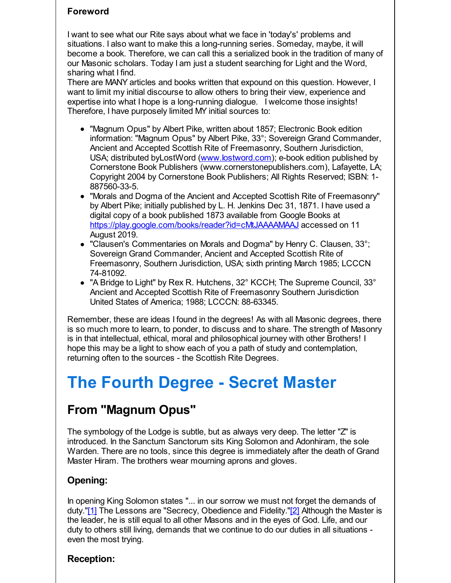### **Foreword**

I want to see what our Rite says about what we face in 'today's' problems and situations. I also want to make this a long-running series. Someday, maybe, it will become a book. Therefore, we can call this a serialized book in the tradition of many of our Masonic scholars. Today I am just a student searching for Light and the Word, sharing what I find.

There are MANY articles and books written that expound on this question. However, I want to limit my initial discourse to allow others to bring their view, experience and expertise into what I hope is a long-running dialogue. I welcome those insights! Therefore, I have purposely limited MY initial sources to:

- "Magnum Opus" by Albert Pike, written about 1857; Electronic Book edition information: "Magnum Opus" by Albert Pike, 33°; Sovereign Grand Commander, Ancient and Accepted Scottish Rite of Freemasonry, Southern Jurisdiction, USA; distributed byLostWord ([www.Iostword.com\)](http://r20.rs6.net/tn.jsp?f=001aPJp0zIGhYhUb4mFIddgvlmwvcwTERsfc1_1EobuA-MzzB66UCfiu55TQmLFFpxCO3T855YyOA4FFODF_9zQCJTQn63u6L1i2qoPQQglOqMhFjiEAeT524C9ghXWOowS-BSoNV6LGvHY4b6XSK1vI38o7MGb_t_16h4hNTeouTQ=&c=&ch=); e-book edition published by Cornerstone Book Publishers (www.cornerstonepublishers.com), Lafayette, LA; Copyright 2004 by Cornerstone Book Publishers; All Rights Reserved; ISBN: 1- 887560-33-5.
- "Morals and Dogma of the Ancient and Accepted Scottish Rite of Freemasonry" by Albert Pike; initially published by L. H. Jenkins Dec 31, 1871. I have used a digital copy of a book published 1873 available from Google Books at [https://play.google.com/books/reader?id=cMtJAAAAMAAJ](http://r20.rs6.net/tn.jsp?f=001aPJp0zIGhYhUb4mFIddgvlmwvcwTERsfc1_1EobuA-MzzB66UCfiu55TQmLFFpxCV6m9563tf_Yp_GAYEHo0gFu-6nM1QI4I1x1xZwFAsIJW63IESOR7ORS4YNkFluUQyct7gVHFiedLvJN03E_yIjNIdaBEx5lNl9HZFK0BpmAcJ5YuSeiHvhProI0h7cV6-GrNPYirpBPd3EuObZMTA8ZuxUiDdfQr&c=&ch=) accessed on 11 August 2019.
- "Clausen's Commentaries on Morals and Dogma" by Henry C. Clausen, 33°; Sovereign Grand Commander, Ancient and Accepted Scottish Rite of Freemasonry, Southern Jurisdiction, USA; sixth printing March 1985; LCCCN 74-81092.
- "A Bridge to Light" by Rex R. Hutchens, 32° KCCH; The Supreme Council, 33° Ancient and Accepted Scottish Rite of Freemasonry Southern Jurisdiction United States of America; 1988; LCCCN: 88-63345.

Remember, these are ideas I found in the degrees! As with all Masonic degrees, there is so much more to learn, to ponder, to discuss and to share. The strength of Masonry is in that intellectual, ethical, moral and philosophical journey with other Brothers! I hope this may be a light to show each of you a path of study and contemplation, returning often to the sources - the Scottish Rite Degrees.

# **The Fourth Degree - Secret Master**

# **From "Magnum Opus"**

The symbology of the Lodge is subtle, but as always very deep. The letter "Z" is introduced. In the Sanctum Sanctorum sits King Solomon and Adonhiram, the sole Warden. There are no tools, since this degree is immediately after the death of Grand Master Hiram. The brothers wear mourning aprons and gloves.

## **Opening:**

In opening King Solomon states "... in our sorrow we must not forget the demands of duty."[1] The Lessons are "Secrecy, Obedience and Fidelity."[2] Although the Master is the leader, he is still equal to all other Masons and in the eyes of God. Life, and our duty to others still living, demands that we continue to do our duties in all situations even the most trying.

### **Reception:**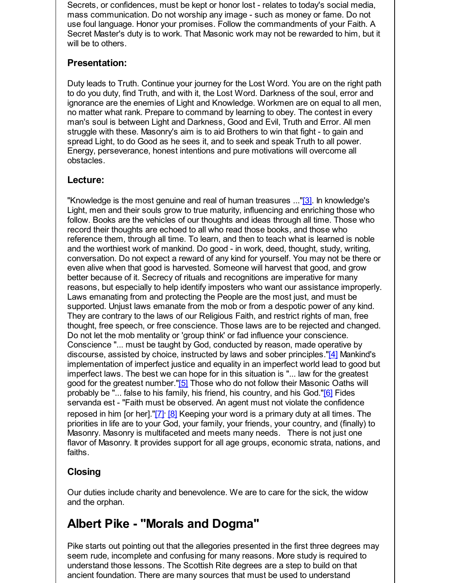Secrets, or confidences, must be kept or honor lost - relates to today's social media, mass communication. Do not worship any image - such as money or fame. Do not use foul language. Honor your promises. Follow the commandments of your Faith. A Secret Master's duty is to work. That Masonic work may not be rewarded to him, but it will be to others.

### **Presentation:**

Duty leads to Truth. Continue your journey for the Lost Word. You are on the right path to do you duty, find Truth, and with it, the Lost Word. Darkness of the soul, error and ignorance are the enemies of Light and Knowledge. Workmen are on equal to all men, no matter what rank. Prepare to command by learning to obey. The contest in every man's soul is between Light and Darkness, Good and Evil, Truth and Error. All men struggle with these. Masonry's aim is to aid Brothers to win that fight - to gain and spread Light, to do Good as he sees it, and to seek and speak Truth to all power. Energy, perseverance, honest intentions and pure motivations will overcome all obstacles.

### **Lecture:**

"Knowledge is the most genuine and real of human treasures ..."[3]. In knowledge's Light, men and their souls grow to true maturity, influencing and enriching those who follow. Books are the vehicles of our thoughts and ideas through all time. Those who record their thoughts are echoed to all who read those books, and those who reference them, through all time. To learn, and then to teach what is learned is noble and the worthiest work of mankind. Do good - in work, deed, thought, study, writing, conversation. Do not expect a reward of any kind for yourself. You may not be there or even alive when that good is harvested. Someone will harvest that good, and grow better because of it. Secrecy of rituals and recognitions are imperative for many reasons, but especially to help identify imposters who want our assistance improperly. Laws emanating from and protecting the People are the most just, and must be supported. Unjust laws emanate from the mob or from a despotic power of any kind. They are contrary to the laws of our Religious Faith, and restrict rights of man, free thought, free speech, or free conscience. Those laws are to be rejected and changed. Do not let the mob mentality or 'group think' or fad influence your conscience. Conscience "... must be taught by God, conducted by reason, made operative by discourse, assisted by choice, instructed by laws and sober principles."[4] Mankind's implementation of imperfect justice and equality in an imperfect world lead to good but imperfect laws. The best we can hope for in this situation is "... law for the greatest good for the greatest number."[5] Those who do not follow their Masonic Oaths will probably be "... false to his family, his friend, his country, and his God."[6] Fides servanda est - "Faith must be observed. An agent must not violate the confidence reposed in him [or her]."[7]<sup>,</sup> [8] Keeping your word is a primary duty at all times. The priorities in life are to your God, your family, your friends, your country, and (finally) to Masonry. Masonry is multifaceted and meets many needs. There is not just one flavor of Masonry. It provides support for all age groups, economic strata, nations, and faiths.

# **Closing**

Our duties include charity and benevolence. We are to care for the sick, the widow and the orphan.

# **Albert Pike - "Morals and Dogma"**

Pike starts out pointing out that the allegories presented in the first three degrees may seem rude, incomplete and confusing for many reasons. More study is required to understand those lessons. The Scottish Rite degrees are a step to build on that ancient foundation. There are many sources that must be used to understand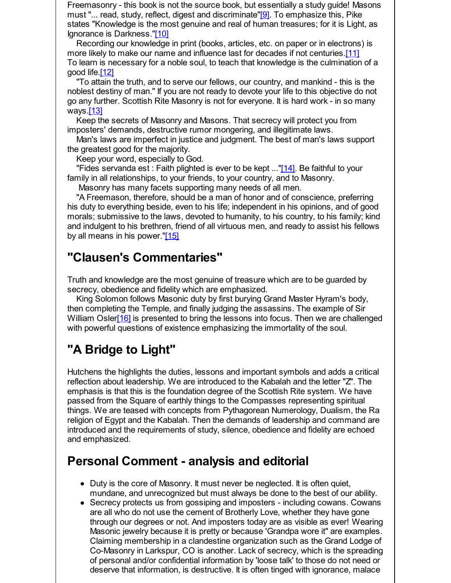Freemasonry - this book is not the source book, but essentially a study guide! Masons must "... read, study, reflect, digest and discriminate"[9]. To emphasize this, Pike states "Knowledge is the most genuine and real of human treasures; for it is Light, as Ignorance is Darkness."[10]

Recording our knowledge in print (books, articles, etc. on paper or in electrons) is more likely to make our name and influence last for decades if not centuries.[11] To learn is necessary for a noble soul, to teach that knowledge is the culmination of a good life.[12]

"To attain the truth, and to serve our fellows, our country, and mankind - this is the noblest destiny of man." If you are not ready to devote your life to this objective do not go any further. Scottish Rite Masonry is not for everyone. It is hard work - in so many ways.[13]

Keep the secrets of Masonry and Masons. That secrecy will protect you from imposters' demands, destructive rumor mongering, and illegitimate laws.

Man's laws are imperfect in justice and judgment. The best of man's laws support the greatest good for the majority.

Keep your word, especially to God.

"Fides servanda est : Faith plighted is ever to be kept ..." $[14]$ . Be faithful to your family in all relationships, to your friends, to your country, and to Masonry.

Masonry has many facets supporting many needs of all men.

"A Freemason, therefore, should be a man of honor and of conscience, preferring his duty to everything beside, even to his life; independent in his opinions, and of good morals; submissive to the laws, devoted to humanity, to his country, to his family; kind and indulgent to his brethren, friend of all virtuous men, and ready to assist his fellows by all means in his power."[15]

# **"Clausen's Commentaries"**

Truth and knowledge are the most genuine of treasure which are to be guarded by secrecy, obedience and fidelity which are emphasized.

King Solomon follows Masonic duty by first burying Grand Master Hyram's body, then completing the Temple, and finally judging the assassins. The example of Sir William Osler<sup>[16]</sup> is presented to bring the lessons into focus. Then we are challenged with powerful questions of existence emphasizing the immortality of the soul.

# **"A Bridge to Light"**

Hutchens the highlights the duties, lessons and important symbols and adds a critical reflection about leadership. We are introduced to the Kabalah and the letter "Z". The emphasis is that this is the foundation degree of the Scottish Rite system. We have passed from the Square of earthly things to the Compasses representing spiritual things. We are teased with concepts from Pythagorean Numerology, Dualism, the Ra religion of Egypt and the Kabalah. Then the demands of leadership and command are introduced and the requirements of study, silence, obedience and fidelity are echoed and emphasized.

# **Personal Comment - analysis and editorial**

- Duty is the core of Masonry. It must never be neglected. It is often quiet, mundane, and unrecognized but must always be done to the best of our ability.
- Secrecy protects us from gossiping and imposters including cowans. Cowans are all who do not use the cement of Brotherly Love, whether they have gone through our degrees or not. And imposters today are as visible as ever! Wearing Masonic jewelry because it is pretty or because 'Grandpa wore it" are examples. Claiming membership in a clandestine organization such as the Grand Lodge of Co-Masonry in Larkspur, CO is another. Lack of secrecy, which is the spreading of personal and/or confidential information by 'loose talk' to those do not need or deserve that information, is destructive. It is often tinged with ignorance, malace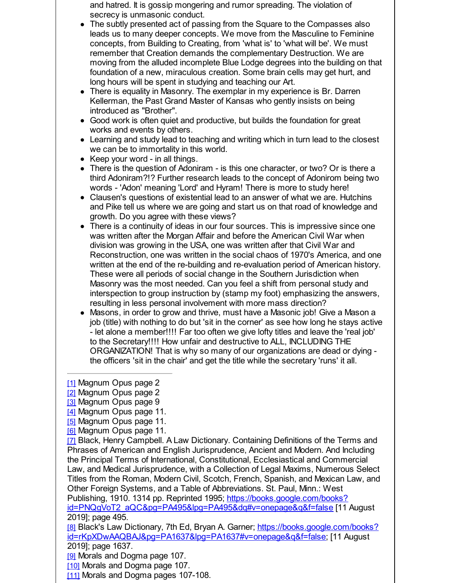and hatred. It is gossip mongering and rumor spreading. The violation of secrecy is unmasonic conduct.

- The subtly presented act of passing from the Square to the Compasses also leads us to many deeper concepts. We move from the Masculine to Feminine concepts, from Building to Creating, from 'what is' to 'what will be'. We must remember that Creation demands the complementary Destruction. We are moving from the alluded incomplete Blue Lodge degrees into the building on that foundation of a new, miraculous creation. Some brain cells may get hurt, and long hours will be spent in studying and teaching our Art.
- There is equality in Masonry. The exemplar in my experience is Br. Darren Kellerman, the Past Grand Master of Kansas who gently insists on being introduced as "Brother".
- Good work is often quiet and productive, but builds the foundation for great works and events by others.
- Learning and study lead to teaching and writing which in turn lead to the closest we can be to immortality in this world.
- Keep your word in all things.
- There is the question of Adoniram is this one character, or two? Or is there a third Adoniram?!? Further research leads to the concept of Adonirom being two words - 'Adon' meaning 'Lord' and Hyram! There is more to study here!
- Clausen's questions of existential lead to an answer of what we are. Hutchins and Pike tell us where we are going and start us on that road of knowledge and growth. Do you agree with these views?
- There is a continuity of ideas in our four sources. This is impressive since one was written after the Morgan Affair and before the American Civil War when division was growing in the USA, one was written after that Civil War and Reconstruction, one was written in the social chaos of 1970's America, and one written at the end of the re-building and re-evaluation period of American history. These were all periods of social change in the Southern Jurisdiction when Masonry was the most needed. Can you feel a shift from personal study and interspection to group instruction by (stamp my foot) emphasizing the answers, resulting in less personal involvement with more mass direction?
- Masons, in order to grow and thrive, must have a Masonic job! Give a Mason a job (title) with nothing to do but 'sit in the corner' as see how long he stays active - let alone a member!!!! Far too often we give lofty titles and leave the 'real job' to the Secretary!!!! How unfair and destructive to ALL, INCLUDING THE ORGANIZATION! That is why so many of our organizations are dead or dying the officers 'sit in the chair' and get the title while the secretary 'runs' it all.

[8] Black's Law Dictionary, 7th Ed, Bryan A. Garner; https://books.google.com/books? [id=rKpXDwAAQBAJ&pg=PA1637&lpg=PA1637#v=onepage&q&f=false;](http://r20.rs6.net/tn.jsp?f=001aPJp0zIGhYhUb4mFIddgvlmwvcwTERsfc1_1EobuA-MzzB66UCfiu55TQmLFFpxCXLXJBn5Qas1Uxu8y8xKPAPpMBrAexXRBma4Ro1TrBUJOc2MzKlJHNmaL42MW7ZmnF1_Od0DRVrBB4XYT2_dDp3nCOBaeypbLfGoG425gjbkynLGNub9ccUOESo1jACY_HKwHV3g_lu2AYAPpsJSlA-OaJuVlFMZhNA6ZCf4koqhYwFBCuRaWZDdAGttPSr2mY_AbJrf5MAhtsbnxm46n_v3OiHMzMQWm&c=&ch=) [11 August 2019]; page 1637.

[9] Morals and Dogma page 107.

- [10] Morals and Dogma page 107.
- [11] Morals and Dogma pages 107-108.

<sup>[1]</sup> Magnum Opus page 2

<sup>[2]</sup> Magnum Opus page 2

<sup>[3]</sup> Magnum Opus page 9

<sup>[4]</sup> Magnum Opus page 11.

<sup>[5]</sup> Magnum Opus page 11.

<sup>[6]</sup> Magnum Opus page 11.

<sup>[7]</sup> Black, Henry Campbell. A Law Dictionary. Containing Definitions of the Terms and Phrases of American and English Jurisprudence, Ancient and Modern. And Including the Principal Terms of International, Constitutional, Ecclesiastical and Commercial Law, and Medical Jurisprudence, with a Collection of Legal Maxims, Numerous Select Titles from the Roman, Modern Civil, Scotch, French, Spanish, and Mexican Law, and Other Foreign Systems, and a Table of Abbreviations. St. Paul, Minn.: West Publishing, 1910. 1314 pp. Reprinted 1995; https://books.google.com/books? [id=PNQgVoT2\\_aQC&pg=PA495&lpg=PA495&dq#v=onepage&q&f=false](http://r20.rs6.net/tn.jsp?f=001aPJp0zIGhYhUb4mFIddgvlmwvcwTERsfc1_1EobuA-MzzB66UCfiu55TQmLFFpxCuHwW3iNkZMKfPUYyQ6LFW4OQuVyyVlKj0qJAilj5Z4RvfVP3lxy8MyBs3orKOHHQlZqg9XV2yURRNbZqmHWxdeQxZxRqdeWB18Wq9KcfOspI3fsLCt8FU9vZ7RegzNBC37TaK2OhNqHF31eQ8jMZeqlRTjziiIhU6wAkvBOAnWAJ5yfQjM0VLVDGGkC2fuWnVVRAJFm43yf3CHkDWYrB21ePCWyT8SDm&c=&ch=) [11 August

<sup>2019];</sup> page 495.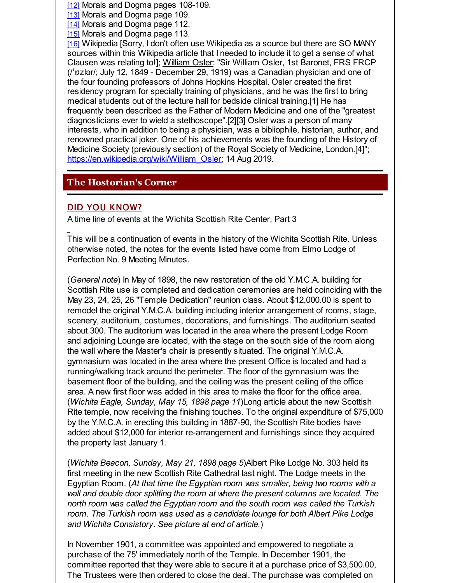[12] Morals and Dogma pages 108-109.

[13] Morals and Dogma page 109.

[14] Morals and Dogma page 112.

[15] Morals and Dogma page 113.

[16] Wikipedia [Sorry, I don't often use Wikipedia as a source but there are SO MANY sources within this Wikipedia article that I needed to include it to get a sense of what Clausen was relating to!]; William Osler; "Sir William Osler, 1st Baronet, FRS FRCP (/ˈɒzlər/; July 12, 1849 - December 29, 1919) was a Canadian physician and one of the four founding professors of Johns Hopkins Hospital. Osler created the first residency program for specialty training of physicians, and he was the first to bring medical students out of the lecture hall for bedside clinical training.[1] He has frequently been described as the Father of Modern Medicine and one of the "greatest diagnosticians ever to wield a stethoscope".[2][3] Osler was a person of many interests, who in addition to being a physician, was a bibliophile, historian, author, and renowned practical joker. One of his achievements was the founding of the History of Medicine Society (previously section) of the Royal Society of Medicine, London.[4]"; [https://en.wikipedia.org/wiki/William\\_Osler](http://r20.rs6.net/tn.jsp?f=001aPJp0zIGhYhUb4mFIddgvlmwvcwTERsfc1_1EobuA-MzzB66UCfiu55TQmLFFpxCCXyQbc8xqPsMAXNNL6JFPfyerbc3w8goX0LkLxIT9em-8uFutm-gjoLKIeV0Wgq6pao0MOkd6M21C56-JDsaCJ127RH6yoPmCvNhipfPG2Rz5E1DxrxbL7Tub5JXXKfW-o_QRST7kt0=&c=&ch=); 14 Aug 2019.

### **The Hostorian's Corner**

### DID YOU KNOW?

A time line of events at the Wichita Scottish Rite Center, Part 3

This will be a continuation of events in the history of the Wichita Scottish Rite. Unless otherwise noted, the notes for the events listed have come from Elmo Lodge of Perfection No. 9 Meeting Minutes.

(*General note*) In May of 1898, the new restoration of the old Y.M.C.A. building for Scottish Rite use is completed and dedication ceremonies are held coinciding with the May 23, 24, 25, 26 "Temple Dedication" reunion class. About \$12,000.00 is spent to remodel the original Y.M.C.A. building including interior arrangement of rooms, stage, scenery, auditorium, costumes, decorations, and furnishings. The auditorium seated about 300. The auditorium was located in the area where the present Lodge Room and adjoining Lounge are located, with the stage on the south side of the room along the wall where the Master's chair is presently situated. The original Y.M.C.A. gymnasium was located in the area where the present Office is located and had a running/walking track around the perimeter. The floor of the gymnasium was the basement floor of the building, and the ceiling was the present ceiling of the office area. A new first floor was added in this area to make the floor for the office area. (*Wichita Eagle, Sunday, May 15, 1898 page 11*)Long article about the new Scottish Rite temple, now receiving the finishing touches. To the original expenditure of \$75,000 by the Y.M.C.A. in erecting this building in 1887-90, the Scottish Rite bodies have added about \$12,000 for interior re-arrangement and furnishings since they acquired the property last January 1.

(*Wichita Beacon, Sunday, May 21, 1898 page 5*)Albert Pike Lodge No. 303 held its first meeting in the new Scottish Rite Cathedral last night. The Lodge meets in the Egyptian Room. (*At that time the Egyptian room was smaller, being two rooms with a wall and double door splitting the room at where the present columns are located. The north room was called the Egyptian room and the south room was called the Turkish room. The Turkish room was used as a candidate lounge for both Albert Pike Lodge and Wichita Consistory. See picture at end of article.*)

In November 1901, a committee was appointed and empowered to negotiate a purchase of the 75' immediately north of the Temple. In December 1901, the committee reported that they were able to secure it at a purchase price of \$3,500.00, The Trustees were then ordered to close the deal. The purchase was completed on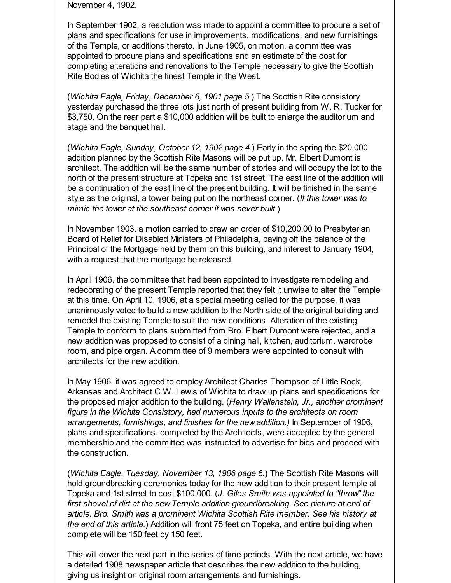November 4, 1902.

In September 1902, a resolution was made to appoint a committee to procure a set of plans and specifications for use in improvements, modifications, and new furnishings of the Temple, or additions thereto. In June 1905, on motion, a committee was appointed to procure plans and specifications and an estimate of the cost for completing alterations and renovations to the Temple necessary to give the Scottish Rite Bodies of Wichita the finest Temple in the West.

(*Wichita Eagle, Friday, December 6, 1901 page 5.*) The Scottish Rite consistory yesterday purchased the three lots just north of present building from W. R. Tucker for \$3,750. On the rear part a \$10,000 addition will be built to enlarge the auditorium and stage and the banquet hall.

(*Wichita Eagle, Sunday, October 12, 1902 page 4.*) Early in the spring the \$20,000 addition planned by the Scottish Rite Masons will be put up. Mr. Elbert Dumont is architect. The addition will be the same number of stories and will occupy the lot to the north of the present structure at Topeka and 1st street. The east line of the addition will be a continuation of the east line of the present building. It will be finished in the same style as the original, a tower being put on the northeast corner. (*If this tower was to mimic the tower at the southeast corner it was never built.*)

In November 1903, a motion carried to draw an order of \$10,200.00 to Presbyterian Board of Relief for Disabled Ministers of Philadelphia, paying off the balance of the Principal of the Mortgage held by them on this building, and interest to January 1904, with a request that the mortgage be released.

In April 1906, the committee that had been appointed to investigate remodeling and redecorating of the present Temple reported that they felt it unwise to alter the Temple at this time. On April 10, 1906, at a special meeting called for the purpose, it was unanimously voted to build a new addition to the North side of the original building and remodel the existing Temple to suit the new conditions. Alteration of the existing Temple to conform to plans submitted from Bro. Elbert Dumont were rejected, and a new addition was proposed to consist of a dining hall, kitchen, auditorium, wardrobe room, and pipe organ. A committee of 9 members were appointed to consult with architects for the new addition.

In May 1906, it was agreed to employ Architect Charles Thompson of Little Rock, Arkansas and Architect C.W. Lewis of Wichita to draw up plans and specifications for the proposed major addition to the building. (*Henry Wallenstein, Jr., another prominent figure in the Wichita Consistory, had numerous inputs to the architects on room arrangements, furnishings, and finishes for the new addition.)* In September of 1906, plans and specifications, completed by the Architects, were accepted by the general membership and the committee was instructed to advertise for bids and proceed with the construction.

(*Wichita Eagle, Tuesday, November 13, 1906 page 6.*) The Scottish Rite Masons will hold groundbreaking ceremonies today for the new addition to their present temple at Topeka and 1st street to cost \$100,000. (*J. Giles Smith was appointed to "throw" the first shovel of dirt at the new Temple addition groundbreaking. See picture at end of article. Bro. Smith was a prominent Wichita Scottish Rite member. See his history at the end of this article.*) Addition will front 75 feet on Topeka, and entire building when complete will be 150 feet by 150 feet.

This will cover the next part in the series of time periods. With the next article, we have a detailed 1908 newspaper article that describes the new addition to the building, giving us insight on original room arrangements and furnishings.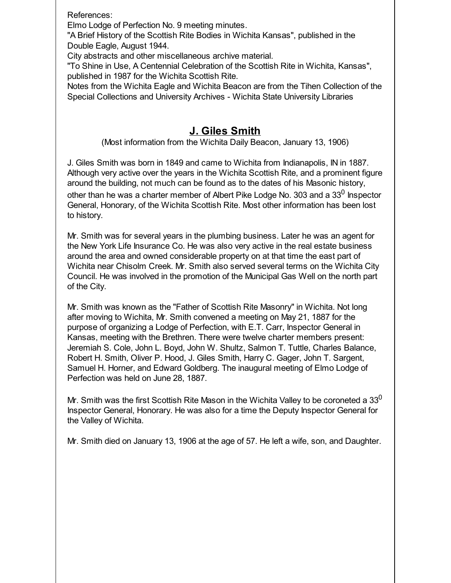References:

Elmo Lodge of Perfection No. 9 meeting minutes.

"A Brief History of the Scottish Rite Bodies in Wichita Kansas", published in the Double Eagle, August 1944.

City abstracts and other miscellaneous archive material.

"To Shine in Use, A Centennial Celebration of the Scottish Rite in Wichita, Kansas", published in 1987 for the Wichita Scottish Rite.

Notes from the Wichita Eagle and Wichita Beacon are from the Tihen Collection of the Special Collections and University Archives - Wichita State University Libraries

# **J. Giles Smith**

(Most information from the Wichita Daily Beacon, January 13, 1906)

J. Giles Smith was born in 1849 and came to Wichita from Indianapolis, IN in 1887. Although very active over the years in the Wichita Scottish Rite, and a prominent figure around the building, not much can be found as to the dates of his Masonic history, other than he was a charter member of Albert Pike Lodge No. 303 and a 33 $^0$  Inspector General, Honorary, of the Wichita Scottish Rite. Most other information has been lost to history.

Mr. Smith was for several years in the plumbing business. Later he was an agent for the New York Life Insurance Co. He was also very active in the real estate business around the area and owned considerable property on at that time the east part of Wichita near Chisolm Creek. Mr. Smith also served several terms on the Wichita City Council. He was involved in the promotion of the Municipal Gas Well on the north part of the City.

Mr. Smith was known as the "Father of Scottish Rite Masonry" in Wichita. Not long after moving to Wichita, Mr. Smith convened a meeting on May 21, 1887 for the purpose of organizing a Lodge of Perfection, with E.T. Carr, Inspector General in Kansas, meeting with the Brethren. There were twelve charter members present: Jeremiah S. Cole, John L. Boyd, John W. Shultz, Salmon T. Tuttle, Charles Balance, Robert H. Smith, Oliver P. Hood, J. Giles Smith, Harry C. Gager, John T. Sargent, Samuel H. Horner, and Edward Goldberg. The inaugural meeting of Elmo Lodge of Perfection was held on June 28, 1887.

Mr. Smith was the first Scottish Rite Mason in the Wichita Valley to be coroneted a 33 $^0$ Inspector General, Honorary. He was also for a time the Deputy Inspector General for the Valley of Wichita.

Mr. Smith died on January 13, 1906 at the age of 57. He left a wife, son, and Daughter.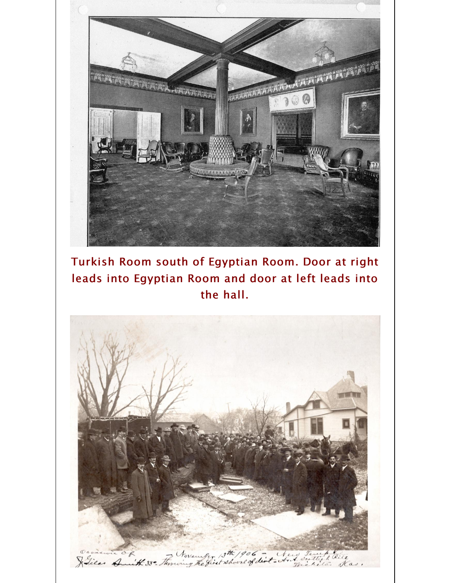

Turkish Room south of Egyptian Room. Door at right leads into Egyptian Room and door at left leads into the hall.